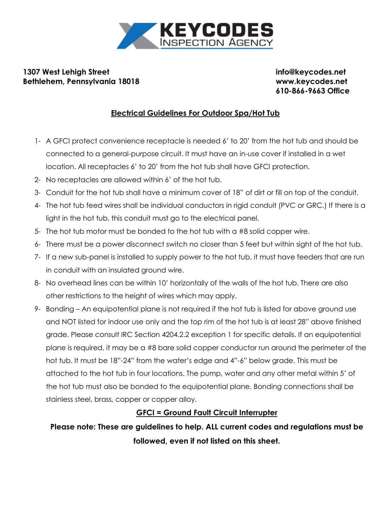

## **1307 West Lehigh Street info@keycodes.net Bethlehem, Pennsylvania 18018 www.keycodes.net**

**610-866-9663 Office**

## **Electrical Guidelines For Outdoor Spa/Hot Tub**

- 1- A GFCI protect convenience receptacle is needed 6' to 20' from the hot tub and should be connected to a general-purpose circuit. It must have an in-use cover if installed in a wet location. All receptacles 6' to 20' from the hot tub shall have GFCI protection.
- 2- No receptacles are allowed within 6' of the hot tub.
- 3- Conduit for the hot tub shall have a minimum cover of 18" of dirt or fill on top of the conduit.
- 4- The hot tub feed wires shall be individual conductors in rigid conduit (PVC or GRC.) If there is a light in the hot tub, this conduit must go to the electrical panel.
- 5- The hot tub motor must be bonded to the hot tub with a #8 solid copper wire.
- 6- There must be a power disconnect switch no closer than 5 feet but within sight of the hot tub.
- 7- If a new sub-panel is installed to supply power to the hot tub, it must have feeders that are run in conduit with an insulated ground wire.
- 8- No overhead lines can be within 10' horizontally of the walls of the hot tub. There are also other restrictions to the height of wires which may apply.
- 9- Bonding An equipotential plane is not required if the hot tub is listed for above ground use and NOT listed for indoor use only and the top rim of the hot tub is at least 28" above finished grade. Please consult IRC Section 4204.2.2 exception 1 for specific details. If an equipotential plane is required, it may be a #8 bare solid copper conductor run around the perimeter of the hot tub. It must be 18"-24" from the water's edge and 4"-6" below grade. This must be attached to the hot tub in four locations. The pump, water and any other metal within 5' of the hot tub must also be bonded to the equipotential plane. Bonding connections shall be stainless steel, brass, copper or copper alloy.

## **GFCI = Ground Fault Circuit Interrupter**

**Please note: These are guidelines to help. ALL current codes and regulations must be followed, even if not listed on this sheet.**